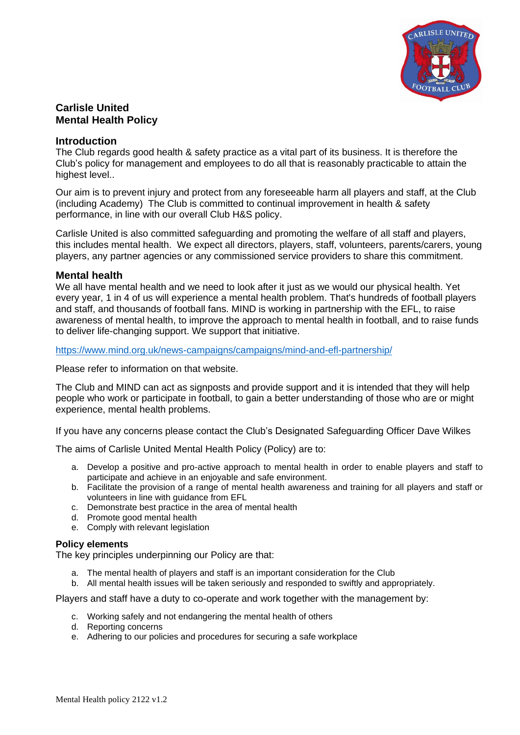

# **Carlisle United Mental Health Policy**

#### **Introduction**

The Club regards good health & safety practice as a vital part of its business. It is therefore the Club's policy for management and employees to do all that is reasonably practicable to attain the highest level..

Our aim is to prevent injury and protect from any foreseeable harm all players and staff, at the Club (including Academy) The Club is committed to continual improvement in health & safety performance, in line with our overall Club H&S policy.

Carlisle United is also committed safeguarding and promoting the welfare of all staff and players, this includes mental health. We expect all directors, players, staff, volunteers, parents/carers, young players, any partner agencies or any commissioned service providers to share this commitment.

#### **Mental health**

We all have mental health and we need to look after it just as we would our physical health. Yet every year, 1 in 4 of us will experience a mental health problem. That's hundreds of football players and staff, and thousands of football fans. MIND is working in partnership with the EFL, to raise awareness of mental health, to improve the approach to mental health in football, and to raise funds to deliver life-changing support. We support that initiative.

<https://www.mind.org.uk/news-campaigns/campaigns/mind-and-efl-partnership/>

Please refer to information on that website.

The Club and MIND can act as signposts and provide support and it is intended that they will help people who work or participate in football, to gain a better understanding of those who are or might experience, mental health problems.

If you have any concerns please contact the Club's Designated Safeguarding Officer Dave Wilkes

The aims of Carlisle United Mental Health Policy (Policy) are to:

- a. Develop a positive and pro-active approach to mental health in order to enable players and staff to participate and achieve in an enjoyable and safe environment.
- b. Facilitate the provision of a range of mental health awareness and training for all players and staff or volunteers in line with guidance from EFL
- c. Demonstrate best practice in the area of mental health
- d. Promote good mental health
- e. Comply with relevant legislation

#### **Policy elements**

The key principles underpinning our Policy are that:

- a. The mental health of players and staff is an important consideration for the Club
- b. All mental health issues will be taken seriously and responded to swiftly and appropriately.

Players and staff have a duty to co-operate and work together with the management by:

- c. Working safely and not endangering the mental health of others
- d. Reporting concerns
- e. Adhering to our policies and procedures for securing a safe workplace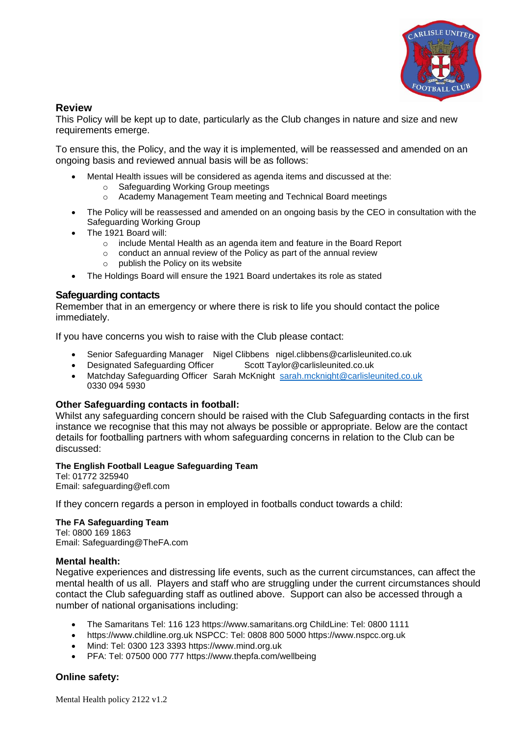

# **Review**

This Policy will be kept up to date, particularly as the Club changes in nature and size and new requirements emerge.

To ensure this, the Policy, and the way it is implemented, will be reassessed and amended on an ongoing basis and reviewed annual basis will be as follows:

- Mental Health issues will be considered as agenda items and discussed at the:
	- o Safeguarding Working Group meetings
	- o Academy Management Team meeting and Technical Board meetings
- The Policy will be reassessed and amended on an ongoing basis by the CEO in consultation with the Safeguarding Working Group
- The 1921 Board will:
	- o include Mental Health as an agenda item and feature in the Board Report
	- o conduct an annual review of the Policy as part of the annual review
	- o publish the Policy on its website
- The Holdings Board will ensure the 1921 Board undertakes its role as stated

## **Safeguarding contacts**

Remember that in an emergency or where there is risk to life you should contact the police immediately.

If you have concerns you wish to raise with the Club please contact:

- Senior Safeguarding Manager Nigel Clibbens nigel.clibbens@carlisleunited.co.uk
- Designated Safeguarding Officer Scott Taylor@carlisleunited.co.uk
- Matchday Safeguarding Officer Sarah McKnight [sarah.mcknight@carlisleunited.co.uk](mailto:sarah.mcknight@carlisleunited.co.uk) 0330 094 5930

### **Other Safeguarding contacts in football:**

Whilst any safeguarding concern should be raised with the Club Safeguarding contacts in the first instance we recognise that this may not always be possible or appropriate. Below are the contact details for footballing partners with whom safeguarding concerns in relation to the Club can be discussed:

### **The English Football League Safeguarding Team**

Tel: 01772 325940 Email: safeguarding@efl.com

If they concern regards a person in employed in footballs conduct towards a child:

### **The FA Safeguarding Team**

Tel: 0800 169 1863 Email: Safeguarding@TheFA.com

#### **Mental health:**

Negative experiences and distressing life events, such as the current circumstances, can affect the mental health of us all. Players and staff who are struggling under the current circumstances should contact the Club safeguarding staff as outlined above. Support can also be accessed through a number of national organisations including:

- The Samaritans Tel: 116 123 https://www.samaritans.org ChildLine: Tel: 0800 1111
- https://www.childline.org.uk NSPCC: Tel: 0808 800 5000 https://www.nspcc.org.uk
- Mind: Tel: 0300 123 3393 https://www.mind.org.uk
- PFA: Tel: 07500 000 777 https://www.thepfa.com/wellbeing

### **Online safety:**